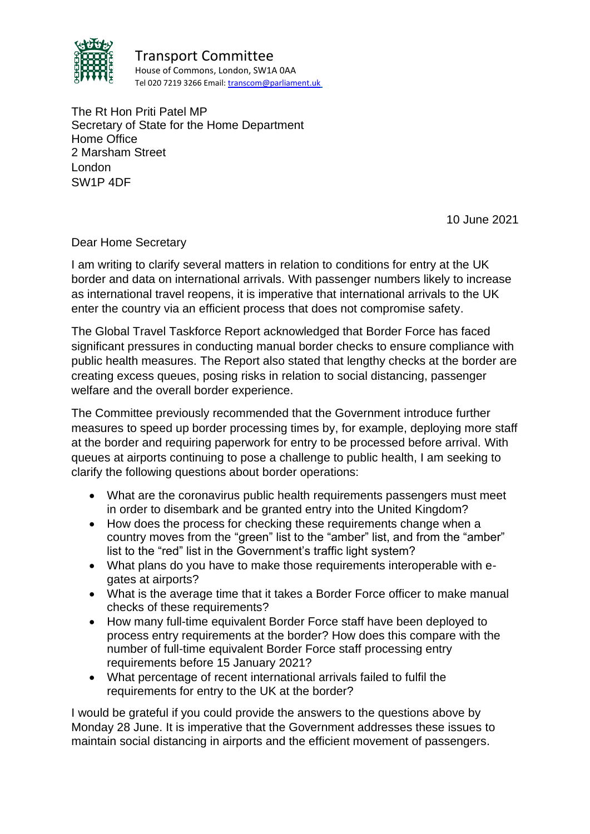

Transport Committee House of Commons, London, SW1A 0AA Tel 020 7219 3266 Email[: transcom@parliament.uk](mailto:transcom@parliament.uk)

The Rt Hon Priti Patel MP Secretary of State for the Home Department Home Office 2 Marsham Street London SW1P 4DF

10 June 2021

Dear Home Secretary

I am writing to clarify several matters in relation to conditions for entry at the UK border and data on international arrivals. With passenger numbers likely to increase as international travel reopens, it is imperative that international arrivals to the UK enter the country via an efficient process that does not compromise safety.

The Global Travel Taskforce Report acknowledged that Border Force has faced significant pressures in conducting manual border checks to ensure compliance with public health measures. The Report also stated that lengthy checks at the border are creating excess queues, posing risks in relation to social distancing, passenger welfare and the overall border experience.

The Committee previously recommended that the Government introduce further measures to speed up border processing times by, for example, deploying more staff at the border and requiring paperwork for entry to be processed before arrival. With queues at airports continuing to pose a challenge to public health, I am seeking to clarify the following questions about border operations:

- What are the coronavirus public health requirements passengers must meet in order to disembark and be granted entry into the United Kingdom?
- How does the process for checking these requirements change when a country moves from the "green" list to the "amber" list, and from the "amber" list to the "red" list in the Government's traffic light system?
- What plans do you have to make those requirements interoperable with egates at airports?
- What is the average time that it takes a Border Force officer to make manual checks of these requirements?
- How many full-time equivalent Border Force staff have been deployed to process entry requirements at the border? How does this compare with the number of full-time equivalent Border Force staff processing entry requirements before 15 January 2021?
- What percentage of recent international arrivals failed to fulfil the requirements for entry to the UK at the border?

I would be grateful if you could provide the answers to the questions above by Monday 28 June. It is imperative that the Government addresses these issues to maintain social distancing in airports and the efficient movement of passengers.